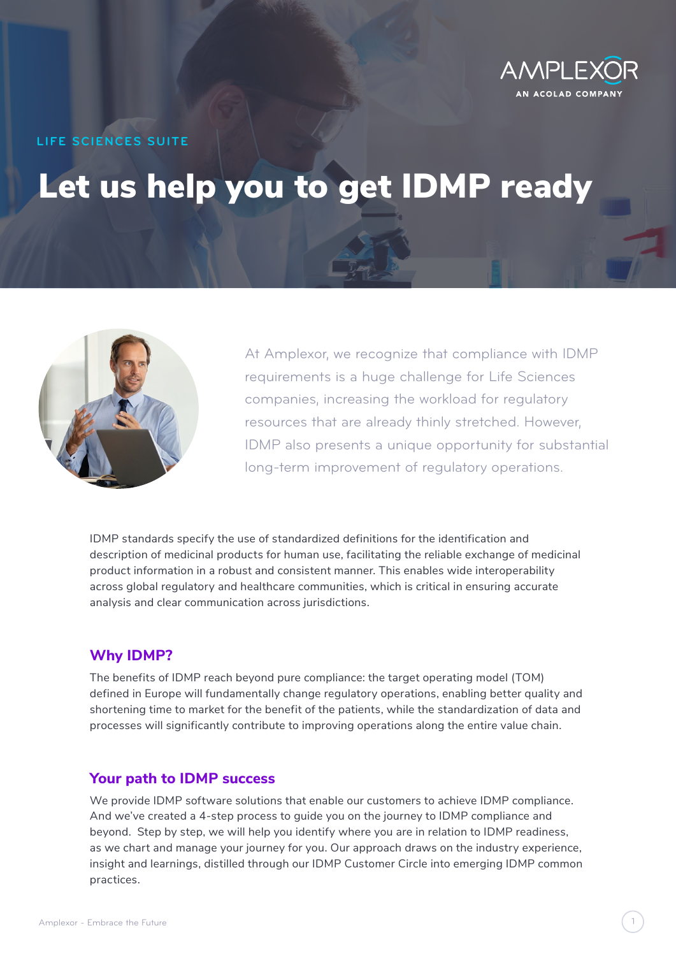

**LIFE SCIENCES SUITE**

# Let us help you to get IDMP ready



At Amplexor, we recognize that compliance with IDMP requirements is a huge challenge for Life Sciences companies, increasing the workload for regulatory resources that are already thinly stretched. However, IDMP also presents a unique opportunity for substantial long-term improvement of regulatory operations.

IDMP standards specify the use of standardized definitions for the identification and description of medicinal products for human use, facilitating the reliable exchange of medicinal product information in a robust and consistent manner. This enables wide interoperability across global regulatory and healthcare communities, which is critical in ensuring accurate analysis and clear communication across jurisdictions.

# **Why IDMP?**

The benefits of IDMP reach beyond pure compliance: the target operating model (TOM) defined in Europe will fundamentally change regulatory operations, enabling better quality and shortening time to market for the benefit of the patients, while the standardization of data and processes will significantly contribute to improving operations along the entire value chain.

## **Your path to IDMP success**

We provide IDMP software solutions that enable our customers to achieve IDMP compliance. And we've created a 4-step process to guide you on the journey to IDMP compliance and beyond. Step by step, we will help you identify where you are in relation to IDMP readiness, as we chart and manage your journey for you. Our approach draws on the industry experience, insight and learnings, distilled through our IDMP Customer Circle into emerging IDMP common practices.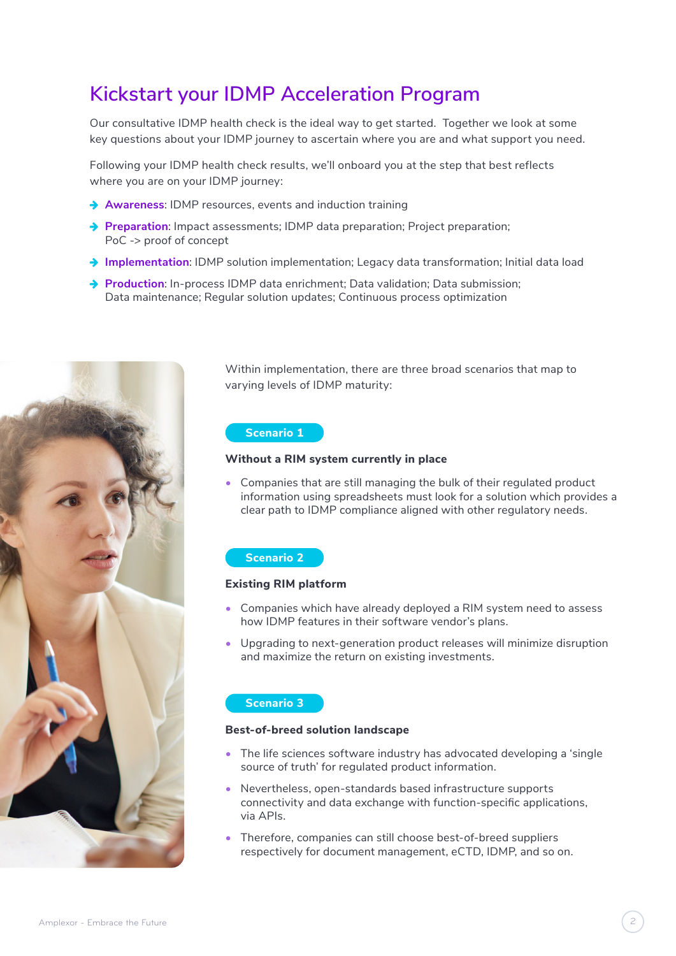# **Kickstart your IDMP Acceleration Program**

Our consultative IDMP health check is the ideal way to get started. Together we look at some key questions about your IDMP journey to ascertain where you are and what support you need.

Following your IDMP health check results, we'll onboard you at the step that best reflects where you are on your IDMP journey:

- **→ Awareness: IDMP resources, events and induction training**
- **→ Preparation**: Impact assessments; IDMP data preparation; Project preparation; PoC -> proof of concept
- → Implementation: IDMP solution implementation; Legacy data transformation; Initial data load
- **→ Production**: In-process IDMP data enrichment: Data validation: Data submission; Data maintenance; Regular solution updates; Continuous process optimization



Within implementation, there are three broad scenarios that map to varying levels of IDMP maturity:

#### **Scenario 1**

#### **Without a RIM system currently in place**

• Companies that are still managing the bulk of their regulated product information using spreadsheets must look for a solution which provides a clear path to IDMP compliance aligned with other regulatory needs.

#### **Scenario 2**

#### **Existing RIM platform**

- Companies which have already deployed a RIM system need to assess how IDMP features in their software vendor's plans.
- Upgrading to next-generation product releases will minimize disruption and maximize the return on existing investments.

#### **Scenario 3**

#### **Best-of-breed solution landscape**

- The life sciences software industry has advocated developing a 'single source of truth' for regulated product information.
- Nevertheless, open-standards based infrastructure supports connectivity and data exchange with function-specific applications, via APIs.
- Therefore, companies can still choose best-of-breed suppliers respectively for document management, eCTD, IDMP, and so on.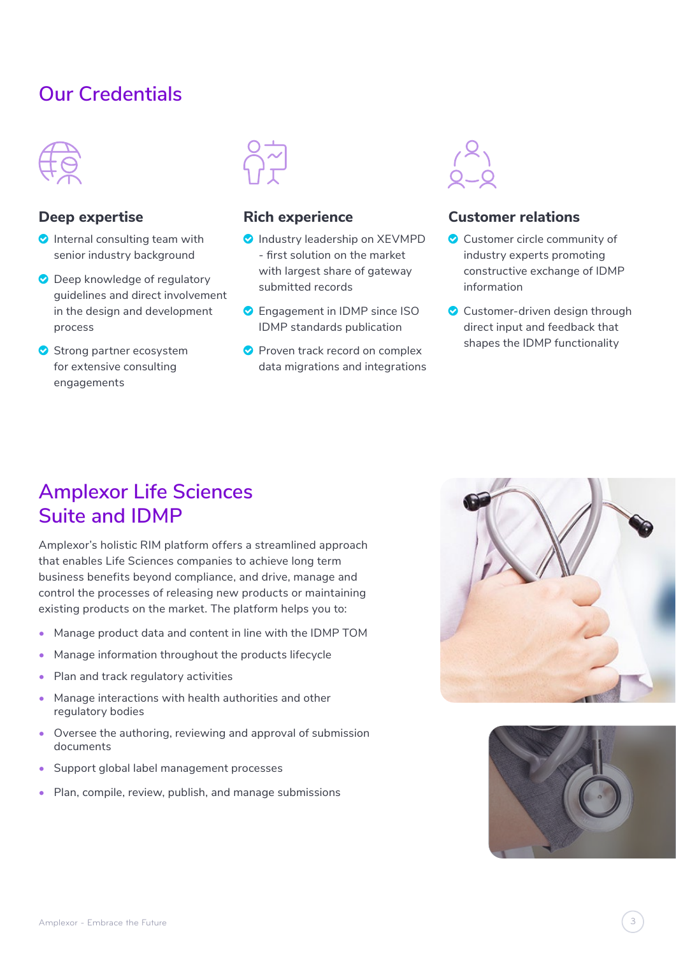# **Our Credentials**



# **Deep expertise**

- $\bullet$  Internal consulting team with senior industry background
- **O** Deep knowledge of regulatory guidelines and direct involvement in the design and development process
- <sup>O</sup> Strong partner ecosystem for extensive consulting engagements



# **Rich experience**

- **O** Industry leadership on XEVMPD - first solution on the market with largest share of gateway submitted records
- **C** Engagement in IDMP since ISO IDMP standards publication
- **Proven track record on complex** data migrations and integrations



# **Customer relations**

- **C** Customer circle community of industry experts promoting constructive exchange of IDMP information
- <sup>O</sup> Customer-driven design through direct input and feedback that shapes the IDMP functionality

# **Amplexor Life Sciences Suite and IDMP**

Amplexor's holistic RIM platform offers a streamlined approach that enables Life Sciences companies to achieve long term business benefits beyond compliance, and drive, manage and control the processes of releasing new products or maintaining existing products on the market. The platform helps you to:

- Manage product data and content in line with the IDMP TOM
- Manage information throughout the products lifecycle
- Plan and track regulatory activities
- Manage interactions with health authorities and other regulatory bodies
- Oversee the authoring, reviewing and approval of submission documents
- Support global label management processes
- Plan, compile, review, publish, and manage submissions